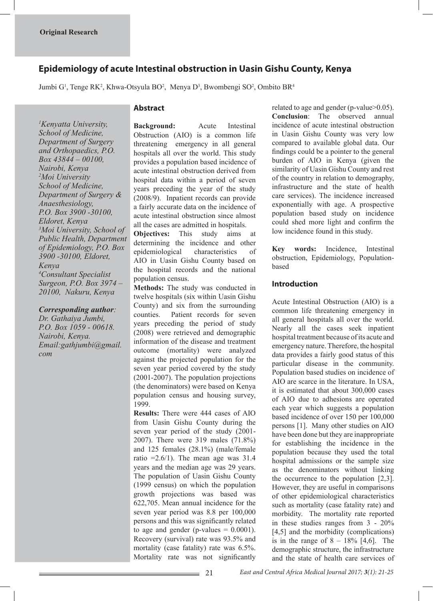# **Epidemiology of acute Intestinal obstruction in Uasin Gishu County, Kenya**

Jumbi G<sup>1</sup>, Tenge RK<sup>2</sup>, Khwa-Otsyula BO<sup>2</sup>, Menya D<sup>3</sup>, Bwombengi SO<sup>2</sup>, Ombito BR<sup>4</sup>

### *1 Kenyatta University, School of Medicine, Department of Surgery and Orthopaedics, P.O. Box 43844 – 00100, Nairobi, Kenya 2 Moi University School of Medicine, Department of Surgery & Anaesthesiology, P.O. Box 3900 -30100, Eldoret, Kenya 3 Moi University, School of Public Health, Department of Epidemiology, P.O. Box 3900 -30100, Eldoret, Kenya 4 Consultant Specialist Surgeon, P.O. Box 3974 – 20100, Nakuru, Kenya*

*Corresponding author:* 

*Dr. Gathaiya Jumbi, P.O. Box 1059 - 00618. Nairobi, Kenya. Email:gathjumbi@gmail. com*

# **Abstract**

**Background:** Acute Intestinal Obstruction (AIO) is a common life threatening emergency in all general hospitals all over the world. This study provides a population based incidence of acute intestinal obstruction derived from hospital data within a period of seven years preceding the year of the study (2008/9). Inpatient records can provide a fairly accurate data on the incidence of acute intestinal obstruction since almost all the cases are admitted in hospitals.

**Objectives:** This study aims at determining the incidence and other epidemiological characteristics of AIO in Uasin Gishu County based on the hospital records and the national population census.

**Methods:** The study was conducted in twelve hospitals (six within Uasin Gishu County) and six from the surrounding counties. Patient records for seven years preceding the period of study (2008) were retrieved and demographic information of the disease and treatment outcome (mortality) were analyzed against the projected population for the seven year period covered by the study (2001-2007). The population projections (the denominators) were based on Kenya population census and housing survey, 1999.

**Results:** There were 444 cases of AIO from Uasin Gishu County during the seven year period of the study (2001- 2007). There were 319 males (71.8%) and 125 females (28.1%) (male/female ratio  $=2.6/1$ ). The mean age was 31.4 years and the median age was 29 years. The population of Uasin Gishu County (1999 census) on which the population growth projections was based was 622,705. Mean annual incidence for the seven year period was 8.8 per 100,000 persons and this was significantly related to age and gender (p-values  $= 0.0001$ ). Recovery (survival) rate was 93.5% and mortality (case fatality) rate was 6.5%. Mortality rate was not significantly

related to age and gender (p-value>0.05). **Conclusion**: The observed annual incidence of acute intestinal obstruction in Uasin Gishu County was very low compared to available global data. Our findings could be a pointer to the general burden of AIO in Kenya (given the similarity of Uasin Gishu County and rest of the country in relation to demography, infrastructure and the state of health care services). The incidence increased exponentially with age. A prospective population based study on incidence could shed more light and confirm the low incidence found in this study.

**Key words:** Incidence, Intestinal obstruction, Epidemiology, Populationbased

# **Introduction**

Acute Intestinal Obstruction (AIO) is a common life threatening emergency in all general hospitals all over the world. Nearly all the cases seek inpatient hospital treatment because of its acute and emergency nature. Therefore, the hospital data provides a fairly good status of this particular disease in the community. Population based studies on incidence of AIO are scarce in the literature. In USA, it is estimated that about 300,000 cases of AIO due to adhesions are operated each year which suggests a population based incidence of over 150 per 100,000 persons [1]. Many other studies on AIO have been done but they are inappropriate for establishing the incidence in the population because they used the total hospital admissions or the sample size as the denominators without linking the occurrence to the population [2,3]. However, they are useful in comparisons of other epidemiological characteristics such as mortality (case fatality rate) and morbidity. The mortality rate reported in these studies ranges from 3 - 20% [4,5] and the morbidity (complications) is in the range of  $8 - 18\%$  [4,6]. The demographic structure, the infrastructure and the state of health care services of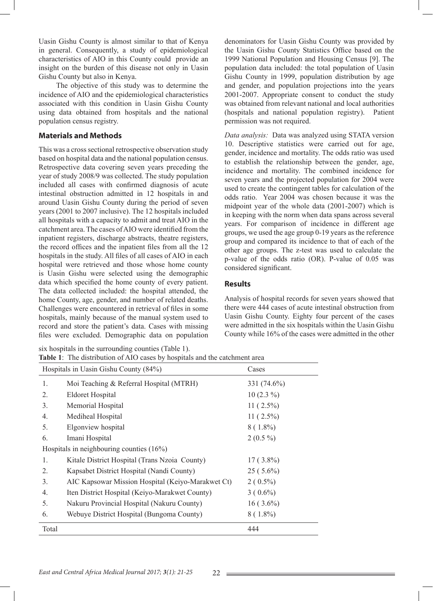Uasin Gishu County is almost similar to that of Kenya in general. Consequently, a study of epidemiological characteristics of AIO in this County could provide an insight on the burden of this disease not only in Uasin Gishu County but also in Kenya.

 The objective of this study was to determine the incidence of AIO and the epidemiological characteristics associated with this condition in Uasin Gishu County using data obtained from hospitals and the national population census registry.

#### **Materials and Methods**

This was a cross sectional retrospective observation study based on hospital data and the national population census. Retrospective data covering seven years preceding the year of study 2008/9 was collected. The study population included all cases with confirmed diagnosis of acute intestinal obstruction admitted in 12 hospitals in and around Uasin Gishu County during the period of seven years (2001 to 2007 inclusive). The 12 hospitals included all hospitals with a capacity to admit and treat AIO in the catchment area. The cases of AIO were identified from the inpatient registers, discharge abstracts, theatre registers, the record offices and the inpatient files from all the 12 hospitals in the study. All files of all cases of AIO in each hospital were retrieved and those whose home county is Uasin Gishu were selected using the demographic data which specified the home county of every patient. The data collected included: the hospital attended, the home County, age, gender, and number of related deaths. Challenges were encountered in retrieval of files in some hospitals, mainly because of the manual system used to record and store the patient's data. Cases with missing files were excluded. Demographic data on population

six hospitals in the surrounding counties (Table 1). **Table 1**: The distribution of AIO cases by hospitals and the catchment area

denominators for Uasin Gishu County was provided by the Uasin Gishu County Statistics Office based on the 1999 National Population and Housing Census [9]. The population data included: the total population of Uasin Gishu County in 1999, population distribution by age and gender, and population projections into the years 2001-2007. Appropriate consent to conduct the study was obtained from relevant national and local authorities (hospitals and national population registry). Patient permission was not required.

*Data analysis:* Data was analyzed using STATA version 10. Descriptive statistics were carried out for age, gender, incidence and mortality. The odds ratio was used to establish the relationship between the gender, age, incidence and mortality. The combined incidence for seven years and the projected population for 2004 were used to create the contingent tables for calculation of the odds ratio. Year 2004 was chosen because it was the midpoint year of the whole data (2001-2007) which is in keeping with the norm when data spans across several years. For comparison of incidence in different age groups, we used the age group 0-19 years as the reference group and compared its incidence to that of each of the other age groups. The z-test was used to calculate the p-value of the odds ratio (OR). P-value of 0.05 was considered significant.

# **Results**

Analysis of hospital records for seven years showed that there were 444 cases of acute intestinal obstruction from Uasin Gishu County. Eighty four percent of the cases were admitted in the six hospitals within the Uasin Gishu County while 16% of the cases were admitted in the other

|                | Hospitals in Uasin Gishu County (84%)             | Cases       |  |
|----------------|---------------------------------------------------|-------------|--|
| $\mathbf{1}$ . | Moi Teaching & Referral Hospital (MTRH)           | 331 (74.6%) |  |
| 2.             | <b>Eldoret Hospital</b>                           | $10(2.3\%)$ |  |
| 3.             | Memorial Hospital                                 | $11(2.5\%)$ |  |
| 4.             | Mediheal Hospital                                 | $11(2.5\%)$ |  |
| 5.             | Elgonview hospital                                | $8(1.8\%)$  |  |
| 6.             | Imani Hospital                                    | $2(0.5\%)$  |  |
|                | Hospitals in neighbouring counties $(16\%)$       |             |  |
| $\mathbf{1}$ . | Kitale District Hospital (Trans Nzoia County)     | $17(3.8\%)$ |  |
| 2.             | Kapsabet District Hospital (Nandi County)         | $25(5.6\%)$ |  |
| 3.             | AIC Kapsowar Mission Hospital (Keiyo-Marakwet Ct) | $2(0.5\%)$  |  |
| 4.             | Iten District Hospital (Keiyo-Marakwet County)    | $3(0.6\%)$  |  |
| 5.             | Nakuru Provincial Hospital (Nakuru County)        | $16(3.6\%)$ |  |
| 6.             | Webuye District Hospital (Bungoma County)         | $8(1.8\%)$  |  |
| Total          |                                                   | 444         |  |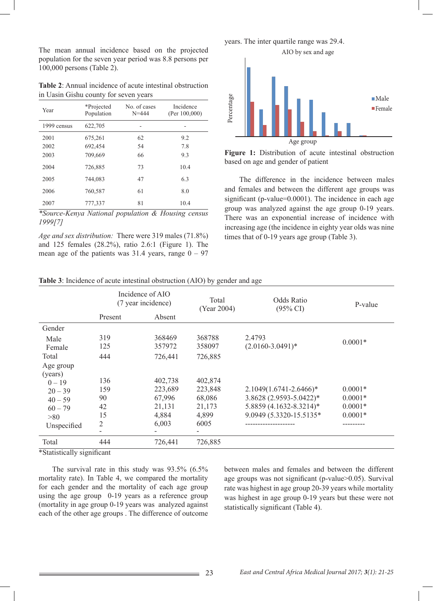The mean annual incidence based on the projected population for the seven year period was 8.8 persons per 100,000 persons (Table 2).

**Table 2**: Annual incidence of acute intestinal obstruction in Uasin Gishu county for seven years

| Year        | *Projected<br>Population | No. of cases<br>$N = 444$ | Incidence<br>(Per $100,000$ ) |
|-------------|--------------------------|---------------------------|-------------------------------|
| 1999 census | 622,705                  |                           |                               |
| 2001        | 675,261                  | 62                        | 9.2                           |
| 2002        | 692,454                  | 54                        | 7.8                           |
| 2003        | 709,669                  | 66                        | 9.3                           |
| 2004        | 726,885                  | 73                        | 10.4                          |
| 2005        | 744,083                  | 47                        | 6.3                           |
| 2006        | 760,587                  | 61                        | 8.0                           |
| 2007        | 777,337                  | 81                        | 10.4                          |

*\*Source-Kenya National population & Housing census 1999[7]*

*Age and sex distribution:*There were 319 males (71.8%) and 125 females (28.2%), ratio 2.6:1 (Figure 1). The mean age of the patients was  $31.4$  years, range  $0 - 97$  years. The inter quartile range was 29.4.



**Figure 1:** Distribution of acute intestinal obstruction based on age and gender of patient

 The difference in the incidence between males and females and between the different age groups was significant (p-value=0.0001). The incidence in each age group was analyzed against the age group 0-19 years. There was an exponential increase of incidence with increasing age (the incidence in eighty year olds was nine times that of 0-19 years age group (Table 3).

| <b>Table 3</b> : Incidence of acute intestinal obstruction (AIO) by gender and age |  |  |
|------------------------------------------------------------------------------------|--|--|
|------------------------------------------------------------------------------------|--|--|

|                      | Incidence of AIO<br>(7 year incidence) |         | Total<br>(Year 2004) | <b>Odds Ratio</b><br>$(95\% \text{ CI})$ | P-value   |
|----------------------|----------------------------------------|---------|----------------------|------------------------------------------|-----------|
|                      | Present                                | Absent  |                      |                                          |           |
| Gender               |                                        |         |                      |                                          |           |
| Male                 | 319                                    | 368469  | 368788               | 2.4793                                   | $0.0001*$ |
| Female               | 125                                    | 357972  | 358097               | $(2.0160 - 3.0491)^*$                    |           |
| Total                | 444                                    | 726,441 | 726,885              |                                          |           |
| Age group<br>(years) |                                        |         |                      |                                          |           |
| $0 - 19$             | 136                                    | 402,738 | 402,874              |                                          |           |
| $20 - 39$            | 159                                    | 223,689 | 223,848              | $2.1049(1.6741 - 2.6466)*$               | $0.0001*$ |
| $40 - 59$            | 90                                     | 67,996  | 68,086               | 3.8628 (2.9593-5.0422)*                  | $0.0001*$ |
| $60 - 79$            | 42                                     | 21,131  | 21,173               | 5.8859 (4.1632-8.3214)*                  | $0.0001*$ |
| >80                  | 15                                     | 4,884   | 4,899                | 9.0949 (5.3320-15.5135*                  | $0.0001*$ |
| Unspecified          | 2                                      | 6,003   | 6005                 |                                          |           |
|                      |                                        |         |                      |                                          |           |
| Total                | 444                                    | 726,441 | 726,885              |                                          |           |

\*Statistically significant

 The survival rate in this study was 93.5% (6.5% mortality rate). In Table 4, we compared the mortality for each gender and the mortality of each age group using the age group 0-19 years as a reference group (mortality in age group 0-19 years was analyzed against each of the other age groups . The difference of outcome

between males and females and between the different age groups was not significant (p-value>0.05). Survival rate was highest in age group 20-39 years while mortality was highest in age group 0-19 years but these were not statistically significant (Table 4).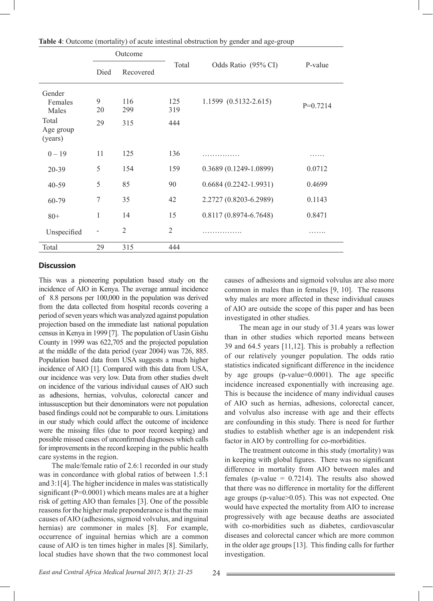|                                                  | Outcome       |                   |                   |                             |            |
|--------------------------------------------------|---------------|-------------------|-------------------|-----------------------------|------------|
|                                                  | Died          | Recovered         | Total             | Odds Ratio (95% CI)         | P-value    |
| Gender<br>Females<br>Males<br>Total<br>Age group | 9<br>20<br>29 | 116<br>299<br>315 | 125<br>319<br>444 | $1.1599$ $(0.5132 - 2.615)$ | $P=0.7214$ |
| (years)                                          |               |                   |                   |                             |            |
| $0 - 19$                                         | 11            | 125               | 136               | .                           | .          |
| 20-39                                            | 5             | 154               | 159               | $0.3689(0.1249-1.0899)$     | 0.0712     |
| $40 - 59$                                        | 5             | 85                | 90                | $0.6684(0.2242 - 1.9931)$   | 0.4699     |
| 60-79                                            | 7             | 35                | 42                | 2.2727 (0.8203-6.2989)      | 0.1143     |
| $80+$                                            | 1             | 14                | 15                | $0.8117(0.8974 - 6.7648)$   | 0.8471     |
| Unspecified                                      | ٠             | $\overline{2}$    | $\overline{2}$    | .                           | .          |
| Total                                            | 29            | 315               | 444               |                             |            |

**Table 4**: Outcome (mortality) of acute intestinal obstruction by gender and age-group

#### **Discussion**

This was a pioneering population based study on the incidence of AIO in Kenya. The average annual incidence of 8.8 persons per 100,000 in the population was derived from the data collected from hospital records covering a period of seven years which was analyzed against population projection based on the immediate last national population census in Kenya in 1999 [7]. The population of Uasin Gishu County in 1999 was 622,705 and the projected population at the middle of the data period (year 2004) was 726, 885. Population based data from USA suggests a much higher incidence of AIO [1]. Compared with this data from USA, our incidence was very low. Data from other studies dwelt on incidence of the various individual causes of AIO such as adhesions, hernias, volvulus, colorectal cancer and intussusception but their denominators were not population based findings could not be comparable to ours. Limitations in our study which could affect the outcome of incidence were the missing files (due to poor record keeping) and possible missed cases of unconfirmed diagnoses which calls for improvements in the record keeping in the public health care systems in the region.

 The male/female ratio of 2.6:1 recorded in our study was in concordance with global ratios of between 1.5:1 and 3:1[4]. The higher incidence in males was statistically significant ( $P=0.0001$ ) which means males are at a higher risk of getting AIO than females [3]. One of the possible reasons for the higher male preponderance is that the main causes of AIO (adhesions, sigmoid volvulus, and inguinal hernias) are commoner in males [8]. For example, occurrence of inguinal hernias which are a common cause of AIO is ten times higher in males [8]. Similarly, local studies have shown that the two commonest local causes of adhesions and sigmoid volvulus are also more common in males than in females [9, 10]. The reasons why males are more affected in these individual causes of AIO are outside the scope of this paper and has been investigated in other studies.

 The mean age in our study of 31.4 years was lower than in other studies which reported means between 39 and 64.5 years [11,12]. This is probably a reflection of our relatively younger population. The odds ratio statistics indicated significant difference in the incidence by age groups (p-value=0.0001). The age specific incidence increased exponentially with increasing age. This is because the incidence of many individual causes of AIO such as hernias, adhesions, colorectal cancer, and volvulus also increase with age and their effects are confounding in this study. There is need for further studies to establish whether age is an independent risk factor in AIO by controlling for co-morbidities.

 The treatment outcome in this study (mortality) was in keeping with global figures. There was no significant difference in mortality from AIO between males and females (p-value  $= 0.7214$ ). The results also showed that there was no difference in mortality for the different age groups (p-value>0.05). This was not expected. One would have expected the mortality from AIO to increase progressively with age because deaths are associated with co-morbidities such as diabetes, cardiovascular diseases and colorectal cancer which are more common in the older age groups [13]. This finding calls for further investigation.